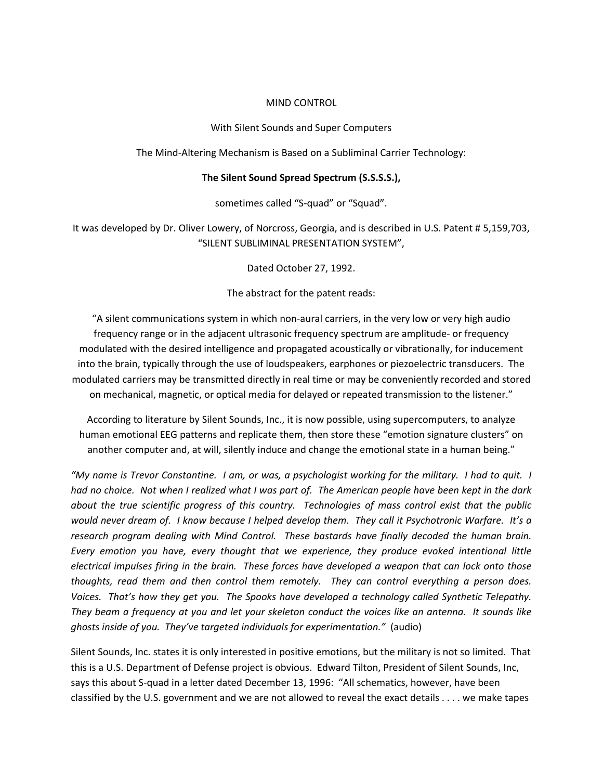### MIND CONTROL

With Silent Sounds and Super Computers

The Mind‐Altering Mechanism is Based on a Subliminal Carrier Technology:

#### **The Silent Sound Spread Spectrum (S.S.S.S.),**

sometimes called "S-quad" or "Squad".

It was developed by Dr. Oliver Lowery, of Norcross, Georgia, and is described in U.S. Patent # 5,159,703, "SILENT SUBLIMINAL PRESENTATION SYSTEM",

Dated October 27, 1992.

The abstract for the patent reads:

"A silent communications system in which non‐aural carriers, in the very low or very high audio frequency range or in the adjacent ultrasonic frequency spectrum are amplitude‐ or frequency modulated with the desired intelligence and propagated acoustically or vibrationally, for inducement into the brain, typically through the use of loudspeakers, earphones or piezoelectric transducers. The modulated carriers may be transmitted directly in real time or may be conveniently recorded and stored on mechanical, magnetic, or optical media for delayed or repeated transmission to the listener."

According to literature by Silent Sounds, Inc., it is now possible, using supercomputers, to analyze human emotional EEG patterns and replicate them, then store these "emotion signature clusters" on another computer and, at will, silently induce and change the emotional state in a human being."

"My name is Trevor Constantine. I am, or was, a psychologist working for the military. I had to quit. I had no choice. Not when I realized what I was part of. The American people have been kept in the dark *about the true scientific progress of this country. Technologies of mass control exist that the public* would never dream of. I know because I helped develop them. They call it Psychotronic Warfare. It's a *research program dealing with Mind Control. These bastards have finally decoded the human brain. Every emotion you have, every thought that we experience, they produce evoked intentional little* electrical impulses firing in the brain. These forces have developed a weapon that can lock onto those *thoughts, read them and then control them remotely. They can control everything a person does.*  Voices. That's how they get you. The Spooks have developed a technology called Synthetic Telepathy. They beam a frequency at you and let your skeleton conduct the voices like an antenna. It sounds like *ghosts inside of you. They've targeted individuals for experimentation."* (audio)

Silent Sounds, Inc. states it is only interested in positive emotions, but the military is not so limited. That this is a U.S. Department of Defense project is obvious. Edward Tilton, President of Silent Sounds, Inc, says this about S-quad in a letter dated December 13, 1996: "All schematics, however, have been classified by the U.S. government and we are not allowed to reveal the exact details . . . . we make tapes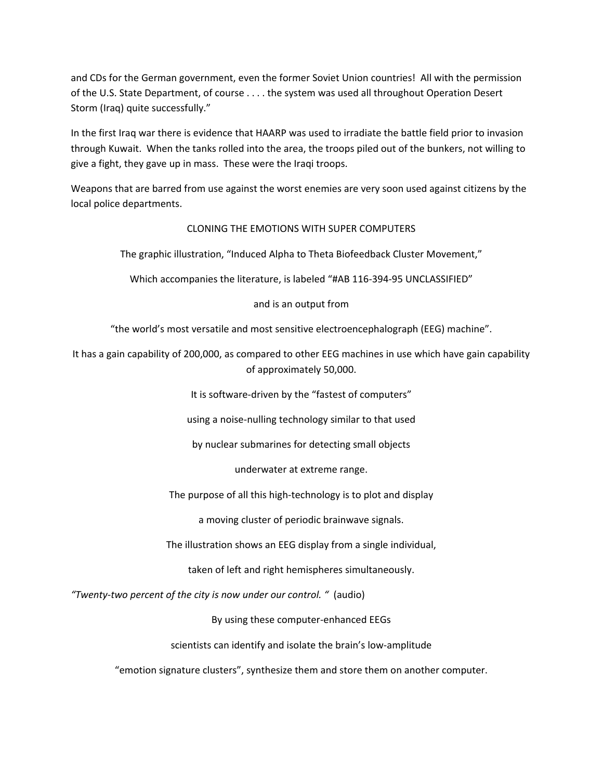and CDs for the German government, even the former Soviet Union countries! All with the permission of the U.S. State Department, of course . . . . the system was used all throughout Operation Desert Storm (Iraq) quite successfully."

In the first Iraq war there is evidence that HAARP was used to irradiate the battle field prior to invasion through Kuwait. When the tanks rolled into the area, the troops piled out of the bunkers, not willing to give a fight, they gave up in mass. These were the Iraqi troops.

Weapons that are barred from use against the worst enemies are very soon used against citizens by the local police departments.

### CLONING THE EMOTIONS WITH SUPER COMPUTERS

The graphic illustration, "Induced Alpha to Theta Biofeedback Cluster Movement,"

Which accompanies the literature, is labeled "#AB 116‐394‐95 UNCLASSIFIED"

and is an output from

"the world's most versatile and most sensitive electroencephalograph (EEG) machine".

It has a gain capability of 200,000, as compared to other EEG machines in use which have gain capability of approximately 50,000.

It is software-driven by the "fastest of computers"

using a noise‐nulling technology similar to that used

by nuclear submarines for detecting small objects

underwater at extreme range.

The purpose of all this high‐technology is to plot and display

a moving cluster of periodic brainwave signals.

The illustration shows an EEG display from a single individual,

taken of left and right hemispheres simultaneously.

*"Twenty‐two percent of the city is now under our control. "* (audio)

By using these computer‐enhanced EEGs

scientists can identify and isolate the brain's low-amplitude

"emotion signature clusters", synthesize them and store them on another computer.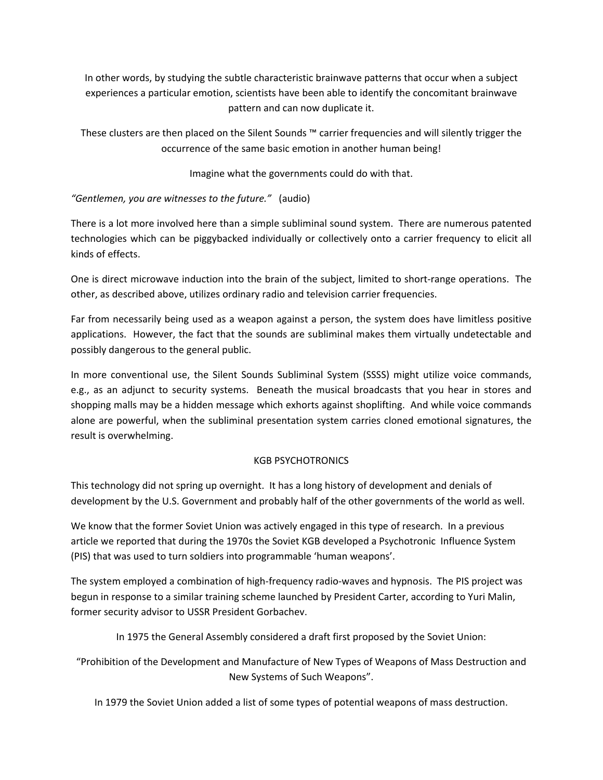In other words, by studying the subtle characteristic brainwave patterns that occur when a subject experiences a particular emotion, scientists have been able to identify the concomitant brainwave pattern and can now duplicate it.

These clusters are then placed on the Silent Sounds ™ carrier frequencies and will silently trigger the occurrence of the same basic emotion in another human being!

Imagine what the governments could do with that.

# *"Gentlemen, you are witnesses to the future."* (audio)

There is a lot more involved here than a simple subliminal sound system. There are numerous patented technologies which can be piggybacked individually or collectively onto a carrier frequency to elicit all kinds of effects.

One is direct microwave induction into the brain of the subject, limited to short‐range operations. The other, as described above, utilizes ordinary radio and television carrier frequencies.

Far from necessarily being used as a weapon against a person, the system does have limitless positive applications. However, the fact that the sounds are subliminal makes them virtually undetectable and possibly dangerous to the general public.

In more conventional use, the Silent Sounds Subliminal System (SSSS) might utilize voice commands, e.g., as an adjunct to security systems. Beneath the musical broadcasts that you hear in stores and shopping malls may be a hidden message which exhorts against shoplifting. And while voice commands alone are powerful, when the subliminal presentation system carries cloned emotional signatures, the result is overwhelming.

## KGB PSYCHOTRONICS

This technology did not spring up overnight. It has a long history of development and denials of development by the U.S. Government and probably half of the other governments of the world as well.

We know that the former Soviet Union was actively engaged in this type of research. In a previous article we reported that during the 1970s the Soviet KGB developed a Psychotronic Influence System (PIS) that was used to turn soldiers into programmable 'human weapons'.

The system employed a combination of high-frequency radio-waves and hypnosis. The PIS project was begun in response to a similar training scheme launched by President Carter, according to Yuri Malin, former security advisor to USSR President Gorbachev.

In 1975 the General Assembly considered a draft first proposed by the Soviet Union:

"Prohibition of the Development and Manufacture of New Types of Weapons of Mass Destruction and New Systems of Such Weapons".

In 1979 the Soviet Union added a list of some types of potential weapons of mass destruction.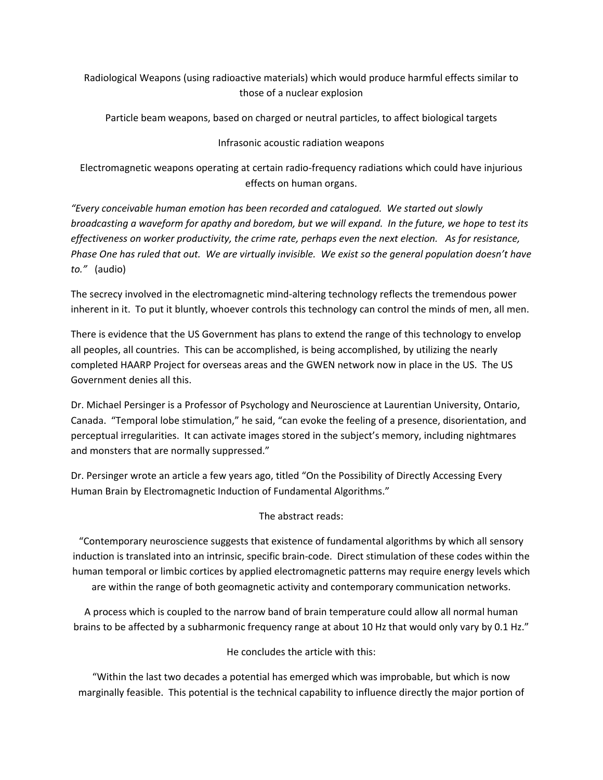Radiological Weapons (using radioactive materials) which would produce harmful effects similar to those of a nuclear explosion

Particle beam weapons, based on charged or neutral particles, to affect biological targets

## Infrasonic acoustic radiation weapons

Electromagnetic weapons operating at certain radio‐frequency radiations which could have injurious effects on human organs.

*"Every conceivable human emotion has been recorded and catalogued. We started out slowly* broadcasting a waveform for apathy and boredom, but we will expand. In the future, we hope to test its *effectiveness on worker productivity, the crime rate, perhaps even the next election. As for resistance,* Phase One has ruled that out. We are virtually invisible. We exist so the general population doesn't have *to."* (audio)

The secrecy involved in the electromagnetic mind‐altering technology reflects the tremendous power inherent in it. To put it bluntly, whoever controls this technology can control the minds of men, all men.

There is evidence that the US Government has plans to extend the range of this technology to envelop all peoples, all countries. This can be accomplished, is being accomplished, by utilizing the nearly completed HAARP Project for overseas areas and the GWEN network now in place in the US. The US Government denies all this.

Dr. Michael Persinger is a Professor of Psychology and Neuroscience at Laurentian University, Ontario, Canada. "Temporal lobe stimulation," he said, "can evoke the feeling of a presence, disorientation, and perceptual irregularities. It can activate images stored in the subject's memory, including nightmares and monsters that are normally suppressed."

Dr. Persinger wrote an article a few years ago, titled "On the Possibility of Directly Accessing Every Human Brain by Electromagnetic Induction of Fundamental Algorithms."

## The abstract reads:

"Contemporary neuroscience suggests that existence of fundamental algorithms by which all sensory induction is translated into an intrinsic, specific brain‐code. Direct stimulation of these codes within the human temporal or limbic cortices by applied electromagnetic patterns may require energy levels which are within the range of both geomagnetic activity and contemporary communication networks.

A process which is coupled to the narrow band of brain temperature could allow all normal human brains to be affected by a subharmonic frequency range at about 10 Hz that would only vary by 0.1 Hz."

He concludes the article with this:

"Within the last two decades a potential has emerged which was improbable, but which is now marginally feasible. This potential is the technical capability to influence directly the major portion of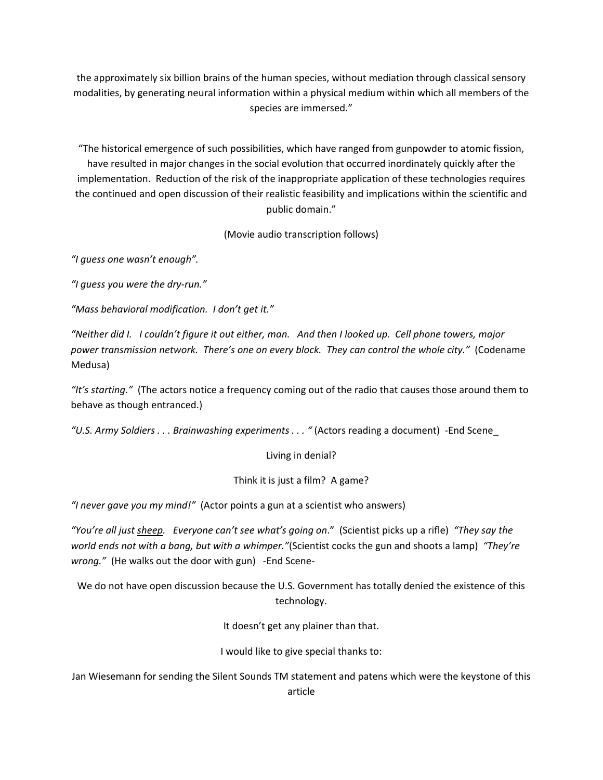the approximately six billion brains of the human species, without mediation through classical sensory modalities, by generating neural information within a physical medium within which all members of the species are immersed."

"The historical emergence of such possibilities, which have ranged from gunpowder to atomic fission, have resulted in major changes in the social evolution that occurred inordinately quickly after the implementation. Reduction of the risk of the inappropriate application of these technologies requires the continued and open discussion of their realistic feasibility and implications within the scientific and public domain."

(Movie audio transcription follows)

*"I guess one wasn't enough".* 

*"I guess you were the dry‐run."*

*"Mass behavioral modification. I don't get it."*

"Neither did I. I couldn't figure it out either, man. And then I looked up. Cell phone towers, major *power transmission network. There's one on every block. They can control the whole city."* (Codename Medusa)

*"It's starting."* (The actors notice a frequency coming out of the radio that causes those around them to behave as though entranced.)

*"U.S. Army Soldiers . . . Brainwashing experiments . . . "* (Actors reading a document) ‐End Scene\_

Living in denial?

Think it is just a film? A game?

*"I never gave you my mind!"* (Actor points a gun at a scientist who answers)

*"You're all just sheep. Everyone can't see what's going on*." (Scientist picks up a rifle) *"They say the world ends not with a bang, but with a whimper."*(Scientist cocks the gun and shoots a lamp) *"They're wrong.*" (He walks out the door with gun) -End Scene-

We do not have open discussion because the U.S. Government has totally denied the existence of this technology.

It doesn't get any plainer than that.

I would like to give special thanks to:

Jan Wiesemann for sending the Silent Sounds TM statement and patens which were the keystone of this article